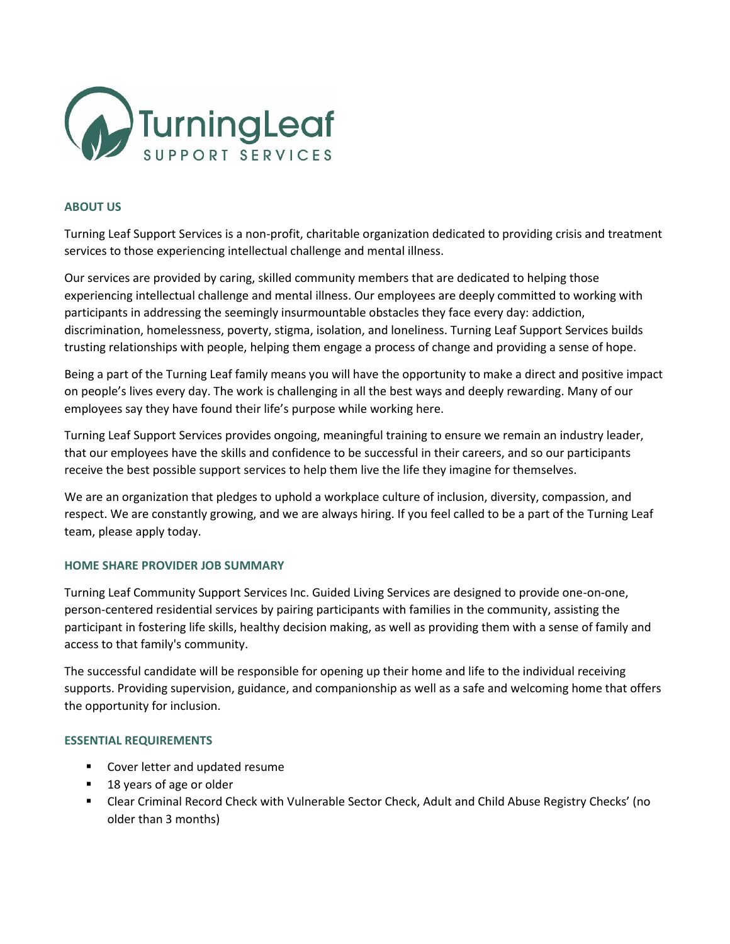

## **ABOUT US**

Turning Leaf Support Services is a non-profit, charitable organization dedicated to providing crisis and treatment services to those experiencing intellectual challenge and mental illness.

Our services are provided by caring, skilled community members that are dedicated to helping those experiencing intellectual challenge and mental illness. Our employees are deeply committed to working with participants in addressing the seemingly insurmountable obstacles they face every day: addiction, discrimination, homelessness, poverty, stigma, isolation, and loneliness. Turning Leaf Support Services builds trusting relationships with people, helping them engage a process of change and providing a sense of hope.

Being a part of the Turning Leaf family means you will have the opportunity to make a direct and positive impact on people's lives every day. The work is challenging in all the best ways and deeply rewarding. Many of our employees say they have found their life's purpose while working here.

Turning Leaf Support Services provides ongoing, meaningful training to ensure we remain an industry leader, that our employees have the skills and confidence to be successful in their careers, and so our participants receive the best possible support services to help them live the life they imagine for themselves.

We are an organization that pledges to uphold a workplace culture of inclusion, diversity, compassion, and respect. We are constantly growing, and we are always hiring. If you feel called to be a part of the Turning Leaf team, please apply today.

## **HOME SHARE PROVIDER JOB SUMMARY**

Turning Leaf Community Support Services Inc. Guided Living Services are designed to provide one-on-one, person-centered residential services by pairing participants with families in the community, assisting the participant in fostering life skills, healthy decision making, as well as providing them with a sense of family and access to that family's community.

The successful candidate will be responsible for opening up their home and life to the individual receiving supports. Providing supervision, guidance, and companionship as well as a safe and welcoming home that offers the opportunity for inclusion.

## **ESSENTIAL REQUIREMENTS**

- Cover letter and updated resume
- 18 years of age or older
- Clear Criminal Record Check with Vulnerable Sector Check, Adult and Child Abuse Registry Checks' (no older than 3 months)